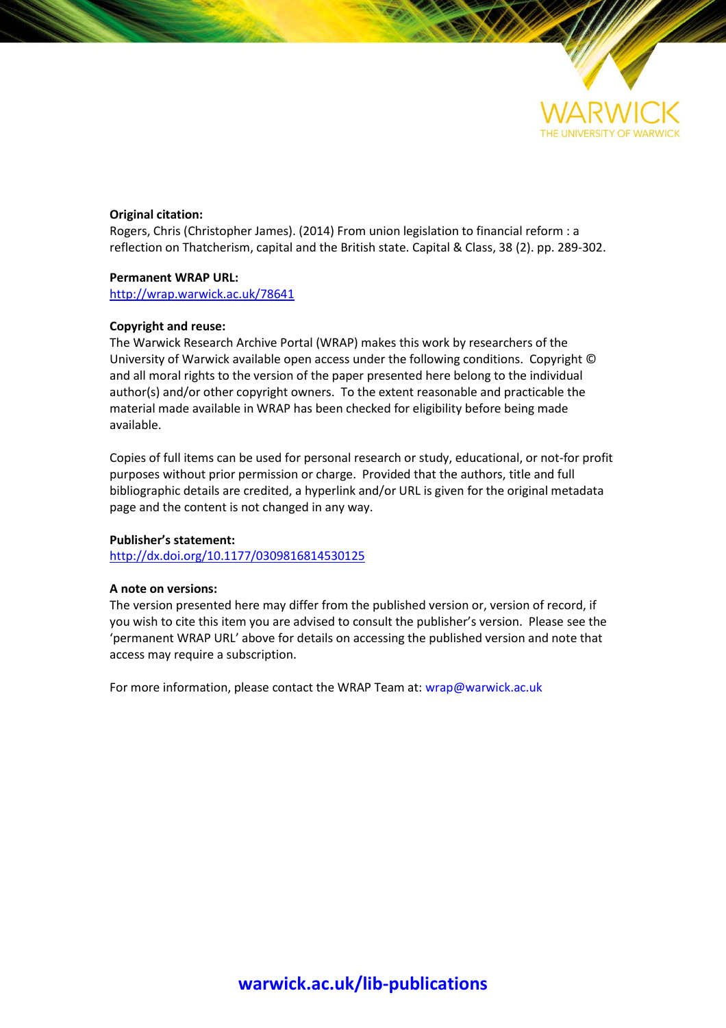

# **Original citation:**

Rogers, Chris (Christopher James). (2014) From union legislation to financial reform : a reflection on Thatcherism, capital and the British state. Capital & Class, 38 (2). pp. 289-302.

# **Permanent WRAP URL:**

<http://wrap.warwick.ac.uk/78641>

# **Copyright and reuse:**

The Warwick Research Archive Portal (WRAP) makes this work by researchers of the University of Warwick available open access under the following conditions. Copyright © and all moral rights to the version of the paper presented here belong to the individual author(s) and/or other copyright owners. To the extent reasonable and practicable the material made available in WRAP has been checked for eligibility before being made available.

Copies of full items can be used for personal research or study, educational, or not-for profit purposes without prior permission or charge. Provided that the authors, title and full bibliographic details are credited, a hyperlink and/or URL is given for the original metadata page and the content is not changed in any way.

## **Publisher's statement:**

<http://dx.doi.org/10.1177/0309816814530125>

### **A note on versions:**

The version presented here may differ from the published version or, version of record, if you wish to cite this item you are advised to consult the publisher's version. Please see the 'permanent WRAP URL' above for details on accessing the published version and note that access may require a subscription.

For more information, please contact the WRAP Team at[: wrap@warwick.ac.uk](mailto:wrap@warwick.ac.uk)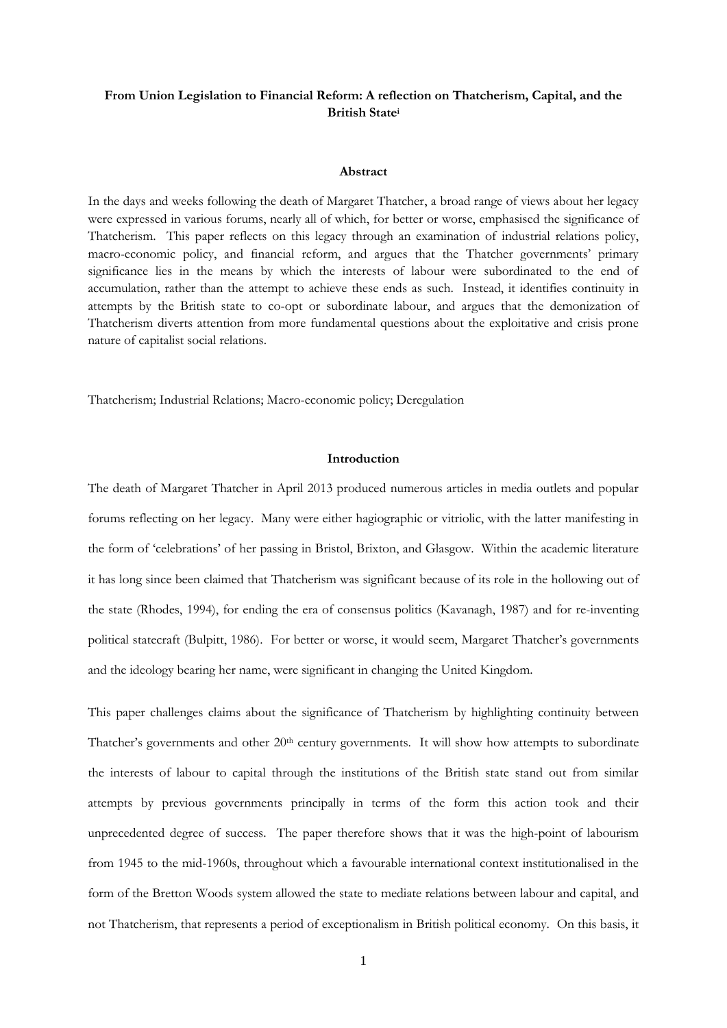# **From Union Legislation to Financial Reform: A reflection on Thatcherism, Capital, and the British State<sup>i</sup>**

#### **Abstract**

In the days and weeks following the death of Margaret Thatcher, a broad range of views about her legacy were expressed in various forums, nearly all of which, for better or worse, emphasised the significance of Thatcherism. This paper reflects on this legacy through an examination of industrial relations policy, macro-economic policy, and financial reform, and argues that the Thatcher governments' primary significance lies in the means by which the interests of labour were subordinated to the end of accumulation, rather than the attempt to achieve these ends as such. Instead, it identifies continuity in attempts by the British state to co-opt or subordinate labour, and argues that the demonization of Thatcherism diverts attention from more fundamental questions about the exploitative and crisis prone nature of capitalist social relations.

Thatcherism; Industrial Relations; Macro-economic policy; Deregulation

# **Introduction**

The death of Margaret Thatcher in April 2013 produced numerous articles in media outlets and popular forums reflecting on her legacy. Many were either hagiographic or vitriolic, with the latter manifesting in the form of 'celebrations' of her passing in Bristol, Brixton, and Glasgow. Within the academic literature it has long since been claimed that Thatcherism was significant because of its role in the hollowing out of the state (Rhodes, 1994), for ending the era of consensus politics (Kavanagh, 1987) and for re-inventing political statecraft (Bulpitt, 1986). For better or worse, it would seem, Margaret Thatcher's governments and the ideology bearing her name, were significant in changing the United Kingdom.

This paper challenges claims about the significance of Thatcherism by highlighting continuity between Thatcher's governments and other 20<sup>th</sup> century governments. It will show how attempts to subordinate the interests of labour to capital through the institutions of the British state stand out from similar attempts by previous governments principally in terms of the form this action took and their unprecedented degree of success. The paper therefore shows that it was the high-point of labourism from 1945 to the mid-1960s, throughout which a favourable international context institutionalised in the form of the Bretton Woods system allowed the state to mediate relations between labour and capital, and not Thatcherism, that represents a period of exceptionalism in British political economy. On this basis, it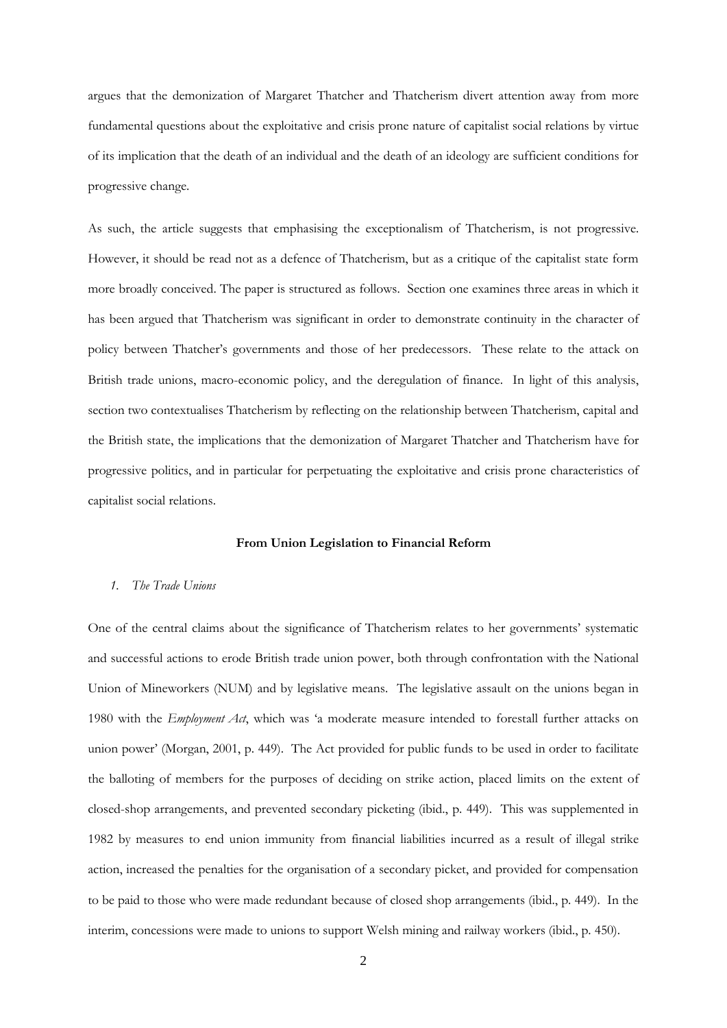argues that the demonization of Margaret Thatcher and Thatcherism divert attention away from more fundamental questions about the exploitative and crisis prone nature of capitalist social relations by virtue of its implication that the death of an individual and the death of an ideology are sufficient conditions for progressive change.

As such, the article suggests that emphasising the exceptionalism of Thatcherism, is not progressive. However, it should be read not as a defence of Thatcherism, but as a critique of the capitalist state form more broadly conceived. The paper is structured as follows. Section one examines three areas in which it has been argued that Thatcherism was significant in order to demonstrate continuity in the character of policy between Thatcher's governments and those of her predecessors. These relate to the attack on British trade unions, macro-economic policy, and the deregulation of finance. In light of this analysis, section two contextualises Thatcherism by reflecting on the relationship between Thatcherism, capital and the British state, the implications that the demonization of Margaret Thatcher and Thatcherism have for progressive politics, and in particular for perpetuating the exploitative and crisis prone characteristics of capitalist social relations.

#### **From Union Legislation to Financial Reform**

### *1. The Trade Unions*

One of the central claims about the significance of Thatcherism relates to her governments' systematic and successful actions to erode British trade union power, both through confrontation with the National Union of Mineworkers (NUM) and by legislative means. The legislative assault on the unions began in 1980 with the *Employment Act*, which was 'a moderate measure intended to forestall further attacks on union power' (Morgan, 2001, p. 449). The Act provided for public funds to be used in order to facilitate the balloting of members for the purposes of deciding on strike action, placed limits on the extent of closed-shop arrangements, and prevented secondary picketing (ibid., p. 449). This was supplemented in 1982 by measures to end union immunity from financial liabilities incurred as a result of illegal strike action, increased the penalties for the organisation of a secondary picket, and provided for compensation to be paid to those who were made redundant because of closed shop arrangements (ibid., p. 449). In the interim, concessions were made to unions to support Welsh mining and railway workers (ibid., p. 450).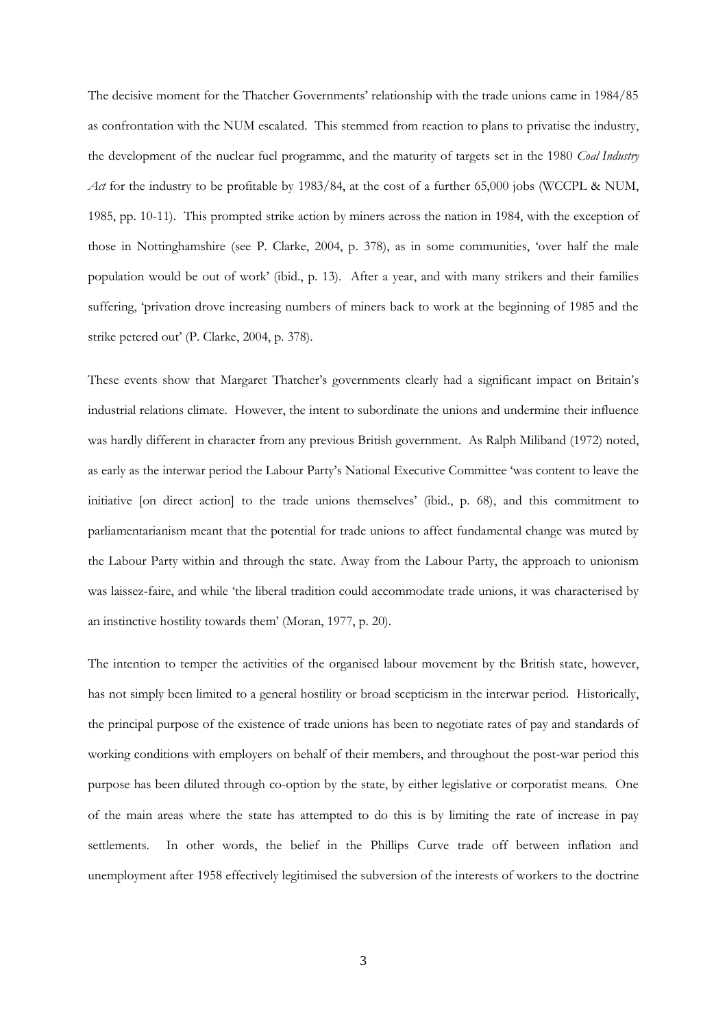The decisive moment for the Thatcher Governments' relationship with the trade unions came in 1984/85 as confrontation with the NUM escalated. This stemmed from reaction to plans to privatise the industry, the development of the nuclear fuel programme, and the maturity of targets set in the 1980 *Coal Industry Act* for the industry to be profitable by 1983/84, at the cost of a further 65,000 jobs (WCCPL & NUM, 1985, pp. 10-11). This prompted strike action by miners across the nation in 1984, with the exception of those in Nottinghamshire (see P. Clarke, 2004, p. 378), as in some communities, 'over half the male population would be out of work' (ibid., p. 13). After a year, and with many strikers and their families suffering, 'privation drove increasing numbers of miners back to work at the beginning of 1985 and the strike petered out' (P. Clarke, 2004, p. 378).

These events show that Margaret Thatcher's governments clearly had a significant impact on Britain's industrial relations climate. However, the intent to subordinate the unions and undermine their influence was hardly different in character from any previous British government. As Ralph Miliband (1972) noted, as early as the interwar period the Labour Party's National Executive Committee 'was content to leave the initiative [on direct action] to the trade unions themselves' (ibid., p. 68), and this commitment to parliamentarianism meant that the potential for trade unions to affect fundamental change was muted by the Labour Party within and through the state. Away from the Labour Party, the approach to unionism was laissez-faire, and while 'the liberal tradition could accommodate trade unions, it was characterised by an instinctive hostility towards them' (Moran, 1977, p. 20).

The intention to temper the activities of the organised labour movement by the British state, however, has not simply been limited to a general hostility or broad scepticism in the interwar period. Historically, the principal purpose of the existence of trade unions has been to negotiate rates of pay and standards of working conditions with employers on behalf of their members, and throughout the post-war period this purpose has been diluted through co-option by the state, by either legislative or corporatist means. One of the main areas where the state has attempted to do this is by limiting the rate of increase in pay settlements. In other words, the belief in the Phillips Curve trade off between inflation and unemployment after 1958 effectively legitimised the subversion of the interests of workers to the doctrine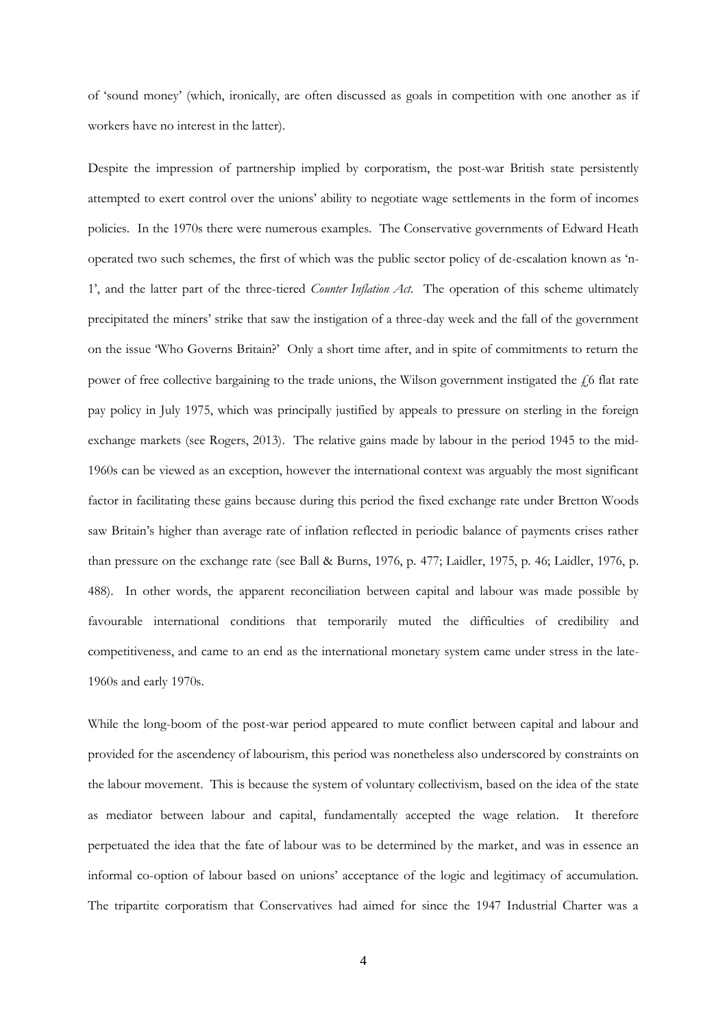of 'sound money' (which, ironically, are often discussed as goals in competition with one another as if workers have no interest in the latter).

Despite the impression of partnership implied by corporatism, the post-war British state persistently attempted to exert control over the unions' ability to negotiate wage settlements in the form of incomes policies. In the 1970s there were numerous examples. The Conservative governments of Edward Heath operated two such schemes, the first of which was the public sector policy of de-escalation known as 'n-1', and the latter part of the three-tiered *Counter Inflation Act*. The operation of this scheme ultimately precipitated the miners' strike that saw the instigation of a three-day week and the fall of the government on the issue 'Who Governs Britain?' Only a short time after, and in spite of commitments to return the power of free collective bargaining to the trade unions, the Wilson government instigated the  $\ell$ 6 flat rate pay policy in July 1975, which was principally justified by appeals to pressure on sterling in the foreign exchange markets (see Rogers, 2013). The relative gains made by labour in the period 1945 to the mid-1960s can be viewed as an exception, however the international context was arguably the most significant factor in facilitating these gains because during this period the fixed exchange rate under Bretton Woods saw Britain's higher than average rate of inflation reflected in periodic balance of payments crises rather than pressure on the exchange rate (see Ball & Burns, 1976, p. 477; Laidler, 1975, p. 46; Laidler, 1976, p. 488). In other words, the apparent reconciliation between capital and labour was made possible by favourable international conditions that temporarily muted the difficulties of credibility and competitiveness, and came to an end as the international monetary system came under stress in the late-1960s and early 1970s.

While the long-boom of the post-war period appeared to mute conflict between capital and labour and provided for the ascendency of labourism, this period was nonetheless also underscored by constraints on the labour movement. This is because the system of voluntary collectivism, based on the idea of the state as mediator between labour and capital, fundamentally accepted the wage relation. It therefore perpetuated the idea that the fate of labour was to be determined by the market, and was in essence an informal co-option of labour based on unions' acceptance of the logic and legitimacy of accumulation. The tripartite corporatism that Conservatives had aimed for since the 1947 Industrial Charter was a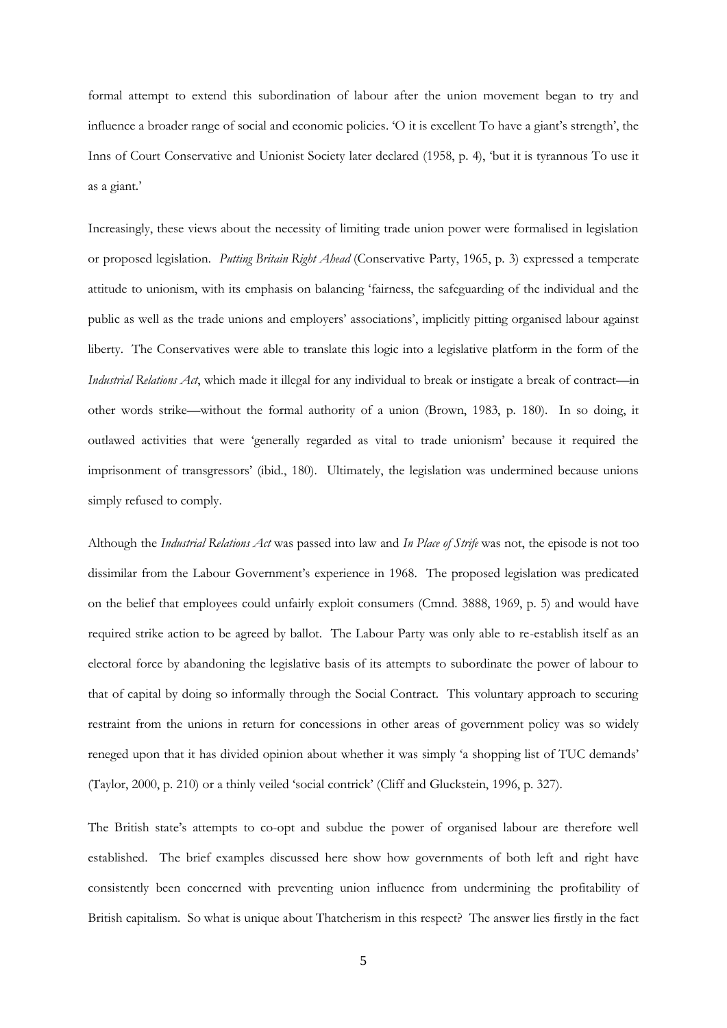formal attempt to extend this subordination of labour after the union movement began to try and influence a broader range of social and economic policies. 'O it is excellent To have a giant's strength', the Inns of Court Conservative and Unionist Society later declared (1958, p. 4), 'but it is tyrannous To use it as a giant.'

Increasingly, these views about the necessity of limiting trade union power were formalised in legislation or proposed legislation. *Putting Britain Right Ahead* (Conservative Party, 1965, p. 3) expressed a temperate attitude to unionism, with its emphasis on balancing 'fairness, the safeguarding of the individual and the public as well as the trade unions and employers' associations', implicitly pitting organised labour against liberty. The Conservatives were able to translate this logic into a legislative platform in the form of the *Industrial Relations Act*, which made it illegal for any individual to break or instigate a break of contract—in other words strike—without the formal authority of a union (Brown, 1983, p. 180). In so doing, it outlawed activities that were 'generally regarded as vital to trade unionism' because it required the imprisonment of transgressors' (ibid., 180). Ultimately, the legislation was undermined because unions simply refused to comply.

Although the *Industrial Relations Act* was passed into law and *In Place of Strife* was not, the episode is not too dissimilar from the Labour Government's experience in 1968. The proposed legislation was predicated on the belief that employees could unfairly exploit consumers (Cmnd. 3888, 1969, p. 5) and would have required strike action to be agreed by ballot. The Labour Party was only able to re-establish itself as an electoral force by abandoning the legislative basis of its attempts to subordinate the power of labour to that of capital by doing so informally through the Social Contract. This voluntary approach to securing restraint from the unions in return for concessions in other areas of government policy was so widely reneged upon that it has divided opinion about whether it was simply 'a shopping list of TUC demands' (Taylor, 2000, p. 210) or a thinly veiled 'social contrick' (Cliff and Gluckstein, 1996, p. 327).

The British state's attempts to co-opt and subdue the power of organised labour are therefore well established. The brief examples discussed here show how governments of both left and right have consistently been concerned with preventing union influence from undermining the profitability of British capitalism. So what is unique about Thatcherism in this respect? The answer lies firstly in the fact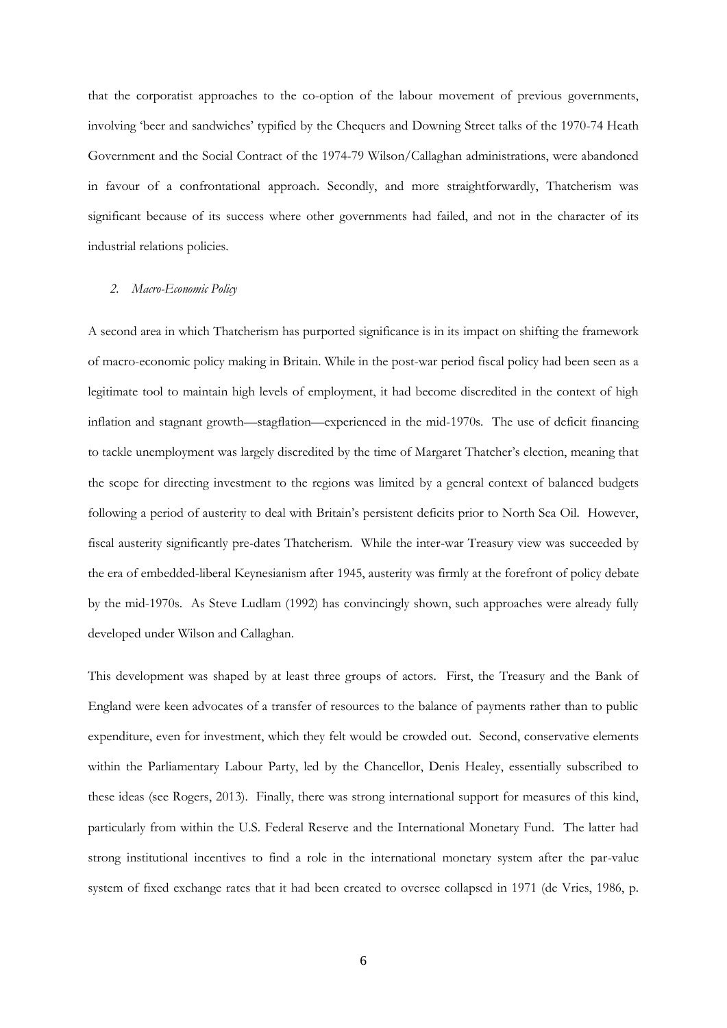that the corporatist approaches to the co-option of the labour movement of previous governments, involving 'beer and sandwiches' typified by the Chequers and Downing Street talks of the 1970-74 Heath Government and the Social Contract of the 1974-79 Wilson/Callaghan administrations, were abandoned in favour of a confrontational approach. Secondly, and more straightforwardly, Thatcherism was significant because of its success where other governments had failed, and not in the character of its industrial relations policies.

# *2. Macro-Economic Policy*

A second area in which Thatcherism has purported significance is in its impact on shifting the framework of macro-economic policy making in Britain. While in the post-war period fiscal policy had been seen as a legitimate tool to maintain high levels of employment, it had become discredited in the context of high inflation and stagnant growth—stagflation—experienced in the mid-1970s. The use of deficit financing to tackle unemployment was largely discredited by the time of Margaret Thatcher's election, meaning that the scope for directing investment to the regions was limited by a general context of balanced budgets following a period of austerity to deal with Britain's persistent deficits prior to North Sea Oil. However, fiscal austerity significantly pre-dates Thatcherism. While the inter-war Treasury view was succeeded by the era of embedded-liberal Keynesianism after 1945, austerity was firmly at the forefront of policy debate by the mid-1970s. As Steve Ludlam (1992) has convincingly shown, such approaches were already fully developed under Wilson and Callaghan.

This development was shaped by at least three groups of actors. First, the Treasury and the Bank of England were keen advocates of a transfer of resources to the balance of payments rather than to public expenditure, even for investment, which they felt would be crowded out. Second, conservative elements within the Parliamentary Labour Party, led by the Chancellor, Denis Healey, essentially subscribed to these ideas (see Rogers, 2013). Finally, there was strong international support for measures of this kind, particularly from within the U.S. Federal Reserve and the International Monetary Fund. The latter had strong institutional incentives to find a role in the international monetary system after the par-value system of fixed exchange rates that it had been created to oversee collapsed in 1971 (de Vries, 1986, p.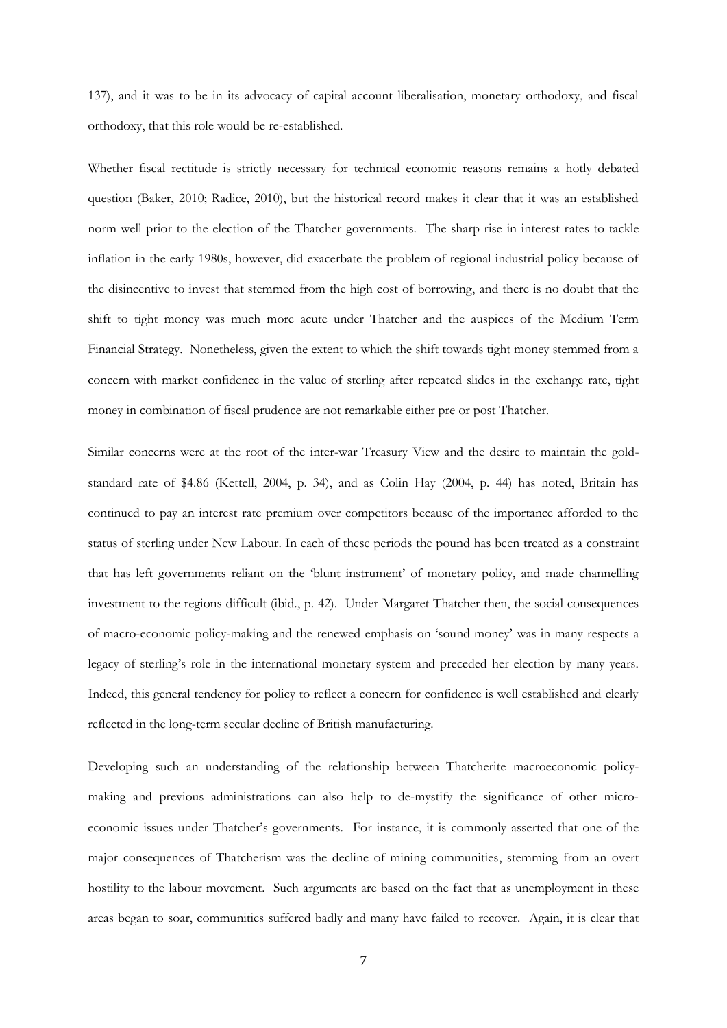137), and it was to be in its advocacy of capital account liberalisation, monetary orthodoxy, and fiscal orthodoxy, that this role would be re-established.

Whether fiscal rectitude is strictly necessary for technical economic reasons remains a hotly debated question (Baker, 2010; Radice, 2010), but the historical record makes it clear that it was an established norm well prior to the election of the Thatcher governments. The sharp rise in interest rates to tackle inflation in the early 1980s, however, did exacerbate the problem of regional industrial policy because of the disincentive to invest that stemmed from the high cost of borrowing, and there is no doubt that the shift to tight money was much more acute under Thatcher and the auspices of the Medium Term Financial Strategy. Nonetheless, given the extent to which the shift towards tight money stemmed from a concern with market confidence in the value of sterling after repeated slides in the exchange rate, tight money in combination of fiscal prudence are not remarkable either pre or post Thatcher.

Similar concerns were at the root of the inter-war Treasury View and the desire to maintain the goldstandard rate of \$4.86 (Kettell, 2004, p. 34), and as Colin Hay (2004, p. 44) has noted, Britain has continued to pay an interest rate premium over competitors because of the importance afforded to the status of sterling under New Labour. In each of these periods the pound has been treated as a constraint that has left governments reliant on the 'blunt instrument' of monetary policy, and made channelling investment to the regions difficult (ibid., p. 42). Under Margaret Thatcher then, the social consequences of macro-economic policy-making and the renewed emphasis on 'sound money' was in many respects a legacy of sterling's role in the international monetary system and preceded her election by many years. Indeed, this general tendency for policy to reflect a concern for confidence is well established and clearly reflected in the long-term secular decline of British manufacturing.

Developing such an understanding of the relationship between Thatcherite macroeconomic policymaking and previous administrations can also help to de-mystify the significance of other microeconomic issues under Thatcher's governments. For instance, it is commonly asserted that one of the major consequences of Thatcherism was the decline of mining communities, stemming from an overt hostility to the labour movement. Such arguments are based on the fact that as unemployment in these areas began to soar, communities suffered badly and many have failed to recover. Again, it is clear that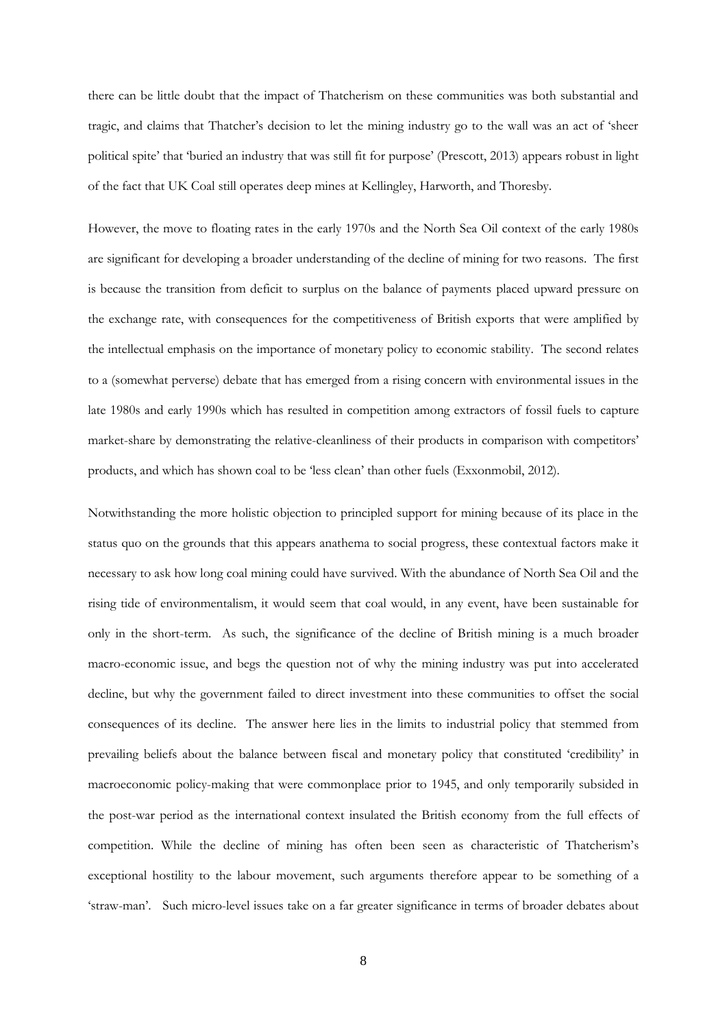there can be little doubt that the impact of Thatcherism on these communities was both substantial and tragic, and claims that Thatcher's decision to let the mining industry go to the wall was an act of 'sheer political spite' that 'buried an industry that was still fit for purpose' (Prescott, 2013) appears robust in light of the fact that UK Coal still operates deep mines at Kellingley, Harworth, and Thoresby.

However, the move to floating rates in the early 1970s and the North Sea Oil context of the early 1980s are significant for developing a broader understanding of the decline of mining for two reasons. The first is because the transition from deficit to surplus on the balance of payments placed upward pressure on the exchange rate, with consequences for the competitiveness of British exports that were amplified by the intellectual emphasis on the importance of monetary policy to economic stability. The second relates to a (somewhat perverse) debate that has emerged from a rising concern with environmental issues in the late 1980s and early 1990s which has resulted in competition among extractors of fossil fuels to capture market-share by demonstrating the relative-cleanliness of their products in comparison with competitors' products, and which has shown coal to be 'less clean' than other fuels (Exxonmobil, 2012).

Notwithstanding the more holistic objection to principled support for mining because of its place in the status quo on the grounds that this appears anathema to social progress, these contextual factors make it necessary to ask how long coal mining could have survived. With the abundance of North Sea Oil and the rising tide of environmentalism, it would seem that coal would, in any event, have been sustainable for only in the short-term. As such, the significance of the decline of British mining is a much broader macro-economic issue, and begs the question not of why the mining industry was put into accelerated decline, but why the government failed to direct investment into these communities to offset the social consequences of its decline. The answer here lies in the limits to industrial policy that stemmed from prevailing beliefs about the balance between fiscal and monetary policy that constituted 'credibility' in macroeconomic policy-making that were commonplace prior to 1945, and only temporarily subsided in the post-war period as the international context insulated the British economy from the full effects of competition. While the decline of mining has often been seen as characteristic of Thatcherism's exceptional hostility to the labour movement, such arguments therefore appear to be something of a 'straw-man'. Such micro-level issues take on a far greater significance in terms of broader debates about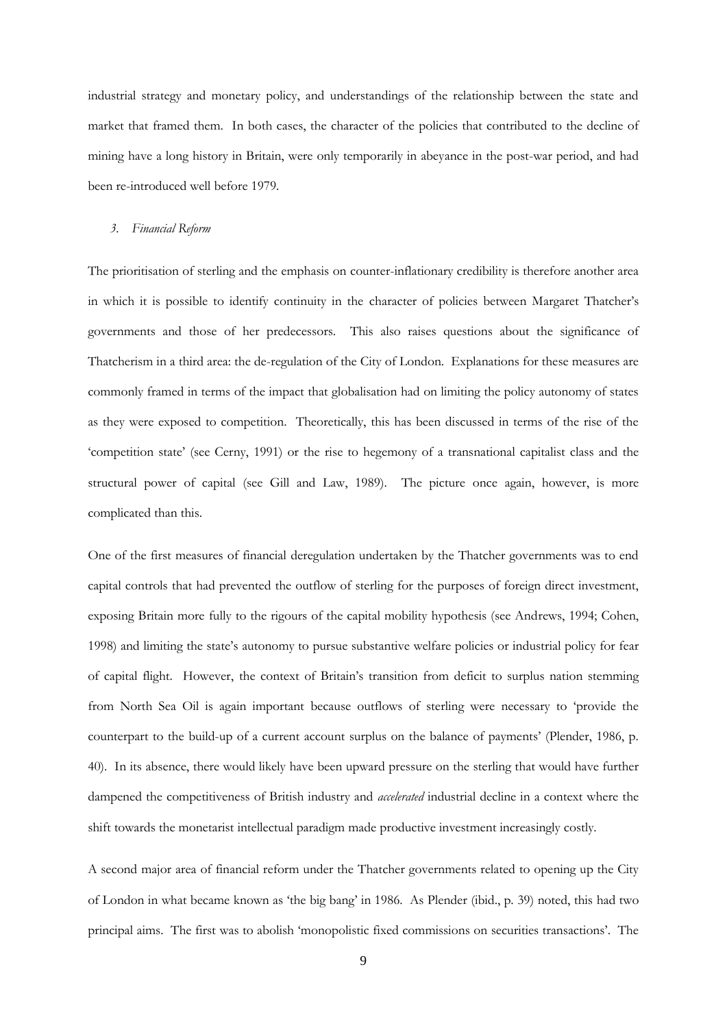industrial strategy and monetary policy, and understandings of the relationship between the state and market that framed them. In both cases, the character of the policies that contributed to the decline of mining have a long history in Britain, were only temporarily in abeyance in the post-war period, and had been re-introduced well before 1979.

#### *3. Financial Reform*

The prioritisation of sterling and the emphasis on counter-inflationary credibility is therefore another area in which it is possible to identify continuity in the character of policies between Margaret Thatcher's governments and those of her predecessors. This also raises questions about the significance of Thatcherism in a third area: the de-regulation of the City of London. Explanations for these measures are commonly framed in terms of the impact that globalisation had on limiting the policy autonomy of states as they were exposed to competition. Theoretically, this has been discussed in terms of the rise of the 'competition state' (see Cerny, 1991) or the rise to hegemony of a transnational capitalist class and the structural power of capital (see Gill and Law, 1989). The picture once again, however, is more complicated than this.

One of the first measures of financial deregulation undertaken by the Thatcher governments was to end capital controls that had prevented the outflow of sterling for the purposes of foreign direct investment, exposing Britain more fully to the rigours of the capital mobility hypothesis (see Andrews, 1994; Cohen, 1998) and limiting the state's autonomy to pursue substantive welfare policies or industrial policy for fear of capital flight. However, the context of Britain's transition from deficit to surplus nation stemming from North Sea Oil is again important because outflows of sterling were necessary to 'provide the counterpart to the build-up of a current account surplus on the balance of payments' (Plender, 1986, p. 40). In its absence, there would likely have been upward pressure on the sterling that would have further dampened the competitiveness of British industry and *accelerated* industrial decline in a context where the shift towards the monetarist intellectual paradigm made productive investment increasingly costly.

A second major area of financial reform under the Thatcher governments related to opening up the City of London in what became known as 'the big bang' in 1986. As Plender (ibid., p. 39) noted, this had two principal aims. The first was to abolish 'monopolistic fixed commissions on securities transactions'. The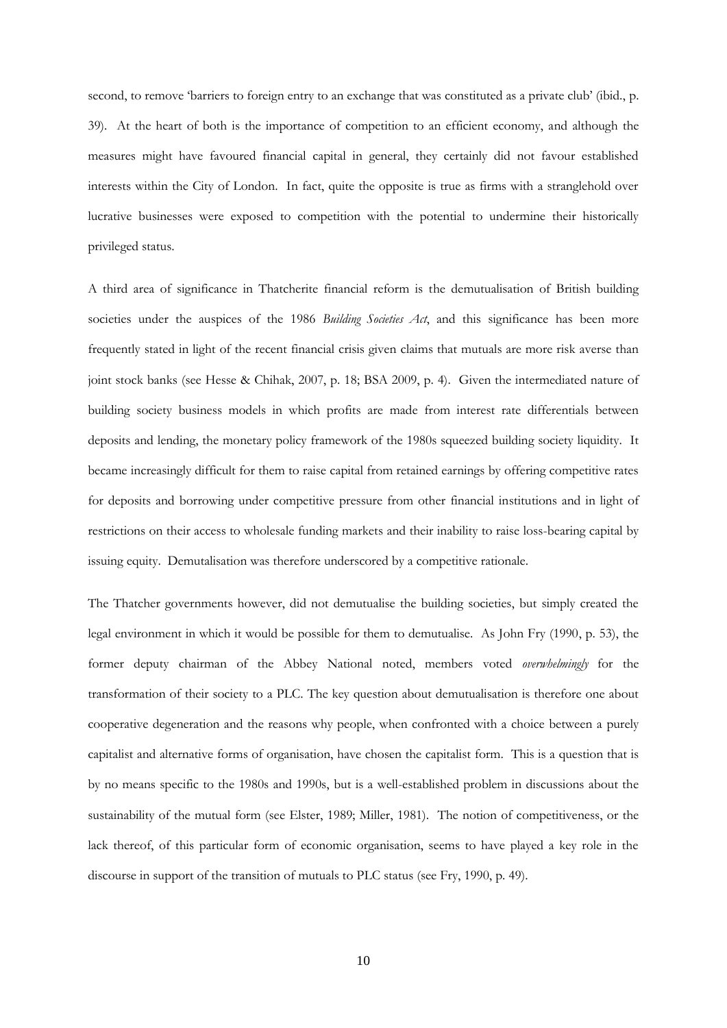second, to remove 'barriers to foreign entry to an exchange that was constituted as a private club' (ibid., p. 39). At the heart of both is the importance of competition to an efficient economy, and although the measures might have favoured financial capital in general, they certainly did not favour established interests within the City of London. In fact, quite the opposite is true as firms with a stranglehold over lucrative businesses were exposed to competition with the potential to undermine their historically privileged status.

A third area of significance in Thatcherite financial reform is the demutualisation of British building societies under the auspices of the 1986 *Building Societies Act*, and this significance has been more frequently stated in light of the recent financial crisis given claims that mutuals are more risk averse than joint stock banks (see Hesse & Chihak, 2007, p. 18; BSA 2009, p. 4). Given the intermediated nature of building society business models in which profits are made from interest rate differentials between deposits and lending, the monetary policy framework of the 1980s squeezed building society liquidity. It became increasingly difficult for them to raise capital from retained earnings by offering competitive rates for deposits and borrowing under competitive pressure from other financial institutions and in light of restrictions on their access to wholesale funding markets and their inability to raise loss-bearing capital by issuing equity. Demutalisation was therefore underscored by a competitive rationale.

The Thatcher governments however, did not demutualise the building societies, but simply created the legal environment in which it would be possible for them to demutualise. As John Fry (1990, p. 53), the former deputy chairman of the Abbey National noted, members voted *overwhelmingly* for the transformation of their society to a PLC. The key question about demutualisation is therefore one about cooperative degeneration and the reasons why people, when confronted with a choice between a purely capitalist and alternative forms of organisation, have chosen the capitalist form. This is a question that is by no means specific to the 1980s and 1990s, but is a well-established problem in discussions about the sustainability of the mutual form (see Elster, 1989; Miller, 1981). The notion of competitiveness, or the lack thereof, of this particular form of economic organisation, seems to have played a key role in the discourse in support of the transition of mutuals to PLC status (see Fry, 1990, p. 49).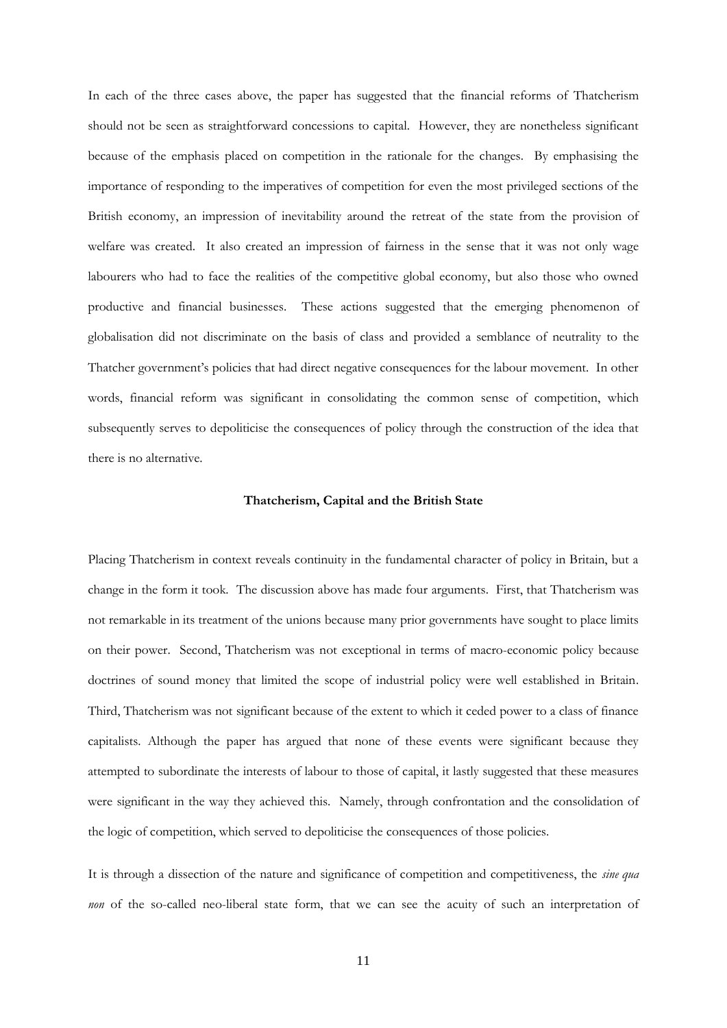In each of the three cases above, the paper has suggested that the financial reforms of Thatcherism should not be seen as straightforward concessions to capital. However, they are nonetheless significant because of the emphasis placed on competition in the rationale for the changes. By emphasising the importance of responding to the imperatives of competition for even the most privileged sections of the British economy, an impression of inevitability around the retreat of the state from the provision of welfare was created. It also created an impression of fairness in the sense that it was not only wage labourers who had to face the realities of the competitive global economy, but also those who owned productive and financial businesses. These actions suggested that the emerging phenomenon of globalisation did not discriminate on the basis of class and provided a semblance of neutrality to the Thatcher government's policies that had direct negative consequences for the labour movement. In other words, financial reform was significant in consolidating the common sense of competition, which subsequently serves to depoliticise the consequences of policy through the construction of the idea that there is no alternative.

## **Thatcherism, Capital and the British State**

Placing Thatcherism in context reveals continuity in the fundamental character of policy in Britain, but a change in the form it took. The discussion above has made four arguments. First, that Thatcherism was not remarkable in its treatment of the unions because many prior governments have sought to place limits on their power. Second, Thatcherism was not exceptional in terms of macro-economic policy because doctrines of sound money that limited the scope of industrial policy were well established in Britain. Third, Thatcherism was not significant because of the extent to which it ceded power to a class of finance capitalists. Although the paper has argued that none of these events were significant because they attempted to subordinate the interests of labour to those of capital, it lastly suggested that these measures were significant in the way they achieved this. Namely, through confrontation and the consolidation of the logic of competition, which served to depoliticise the consequences of those policies.

It is through a dissection of the nature and significance of competition and competitiveness, the *sine qua non* of the so-called neo-liberal state form, that we can see the acuity of such an interpretation of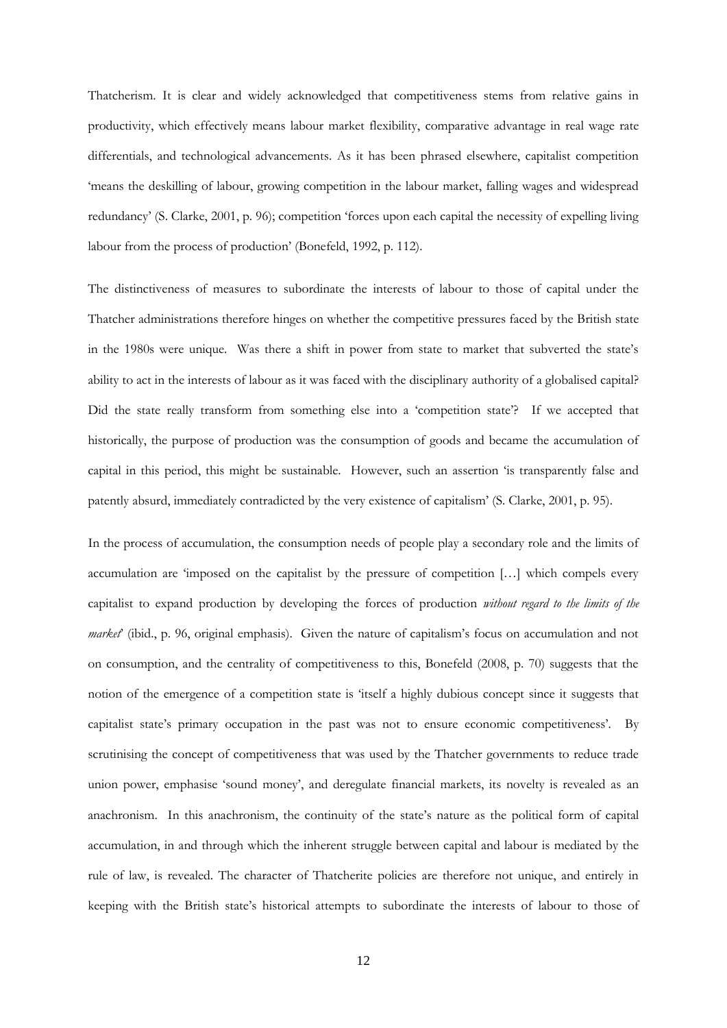Thatcherism. It is clear and widely acknowledged that competitiveness stems from relative gains in productivity, which effectively means labour market flexibility, comparative advantage in real wage rate differentials, and technological advancements. As it has been phrased elsewhere, capitalist competition 'means the deskilling of labour, growing competition in the labour market, falling wages and widespread redundancy' (S. Clarke, 2001, p. 96); competition 'forces upon each capital the necessity of expelling living labour from the process of production' (Bonefeld, 1992, p. 112).

The distinctiveness of measures to subordinate the interests of labour to those of capital under the Thatcher administrations therefore hinges on whether the competitive pressures faced by the British state in the 1980s were unique. Was there a shift in power from state to market that subverted the state's ability to act in the interests of labour as it was faced with the disciplinary authority of a globalised capital? Did the state really transform from something else into a 'competition state'? If we accepted that historically, the purpose of production was the consumption of goods and became the accumulation of capital in this period, this might be sustainable. However, such an assertion 'is transparently false and patently absurd, immediately contradicted by the very existence of capitalism' (S. Clarke, 2001, p. 95).

In the process of accumulation, the consumption needs of people play a secondary role and the limits of accumulation are 'imposed on the capitalist by the pressure of competition […] which compels every capitalist to expand production by developing the forces of production *without regard to the limits of the market*' (ibid., p. 96, original emphasis). Given the nature of capitalism's focus on accumulation and not on consumption, and the centrality of competitiveness to this, Bonefeld (2008, p. 70) suggests that the notion of the emergence of a competition state is 'itself a highly dubious concept since it suggests that capitalist state's primary occupation in the past was not to ensure economic competitiveness'. By scrutinising the concept of competitiveness that was used by the Thatcher governments to reduce trade union power, emphasise 'sound money', and deregulate financial markets, its novelty is revealed as an anachronism. In this anachronism, the continuity of the state's nature as the political form of capital accumulation, in and through which the inherent struggle between capital and labour is mediated by the rule of law, is revealed. The character of Thatcherite policies are therefore not unique, and entirely in keeping with the British state's historical attempts to subordinate the interests of labour to those of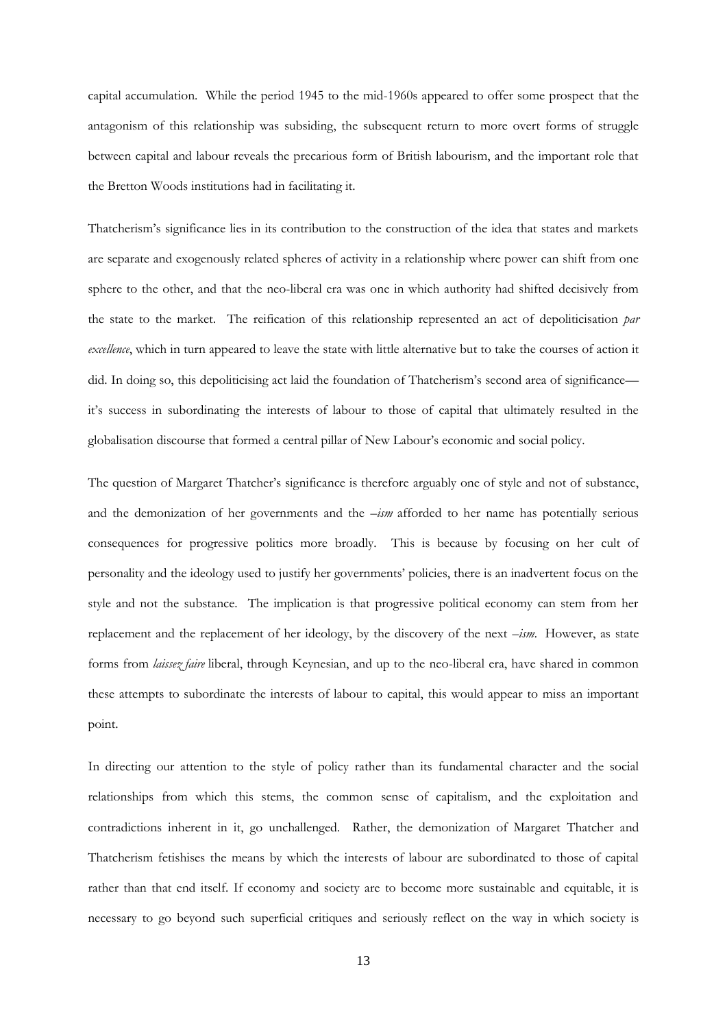capital accumulation. While the period 1945 to the mid-1960s appeared to offer some prospect that the antagonism of this relationship was subsiding, the subsequent return to more overt forms of struggle between capital and labour reveals the precarious form of British labourism, and the important role that the Bretton Woods institutions had in facilitating it.

Thatcherism's significance lies in its contribution to the construction of the idea that states and markets are separate and exogenously related spheres of activity in a relationship where power can shift from one sphere to the other, and that the neo-liberal era was one in which authority had shifted decisively from the state to the market. The reification of this relationship represented an act of depoliticisation *par excellence*, which in turn appeared to leave the state with little alternative but to take the courses of action it did. In doing so, this depoliticising act laid the foundation of Thatcherism's second area of significance it's success in subordinating the interests of labour to those of capital that ultimately resulted in the globalisation discourse that formed a central pillar of New Labour's economic and social policy.

The question of Margaret Thatcher's significance is therefore arguably one of style and not of substance, and the demonization of her governments and the –*ism* afforded to her name has potentially serious consequences for progressive politics more broadly. This is because by focusing on her cult of personality and the ideology used to justify her governments' policies, there is an inadvertent focus on the style and not the substance. The implication is that progressive political economy can stem from her replacement and the replacement of her ideology, by the discovery of the next –*ism.* However, as state forms from *laissez faire* liberal, through Keynesian, and up to the neo-liberal era, have shared in common these attempts to subordinate the interests of labour to capital, this would appear to miss an important point.

In directing our attention to the style of policy rather than its fundamental character and the social relationships from which this stems, the common sense of capitalism, and the exploitation and contradictions inherent in it, go unchallenged. Rather, the demonization of Margaret Thatcher and Thatcherism fetishises the means by which the interests of labour are subordinated to those of capital rather than that end itself. If economy and society are to become more sustainable and equitable, it is necessary to go beyond such superficial critiques and seriously reflect on the way in which society is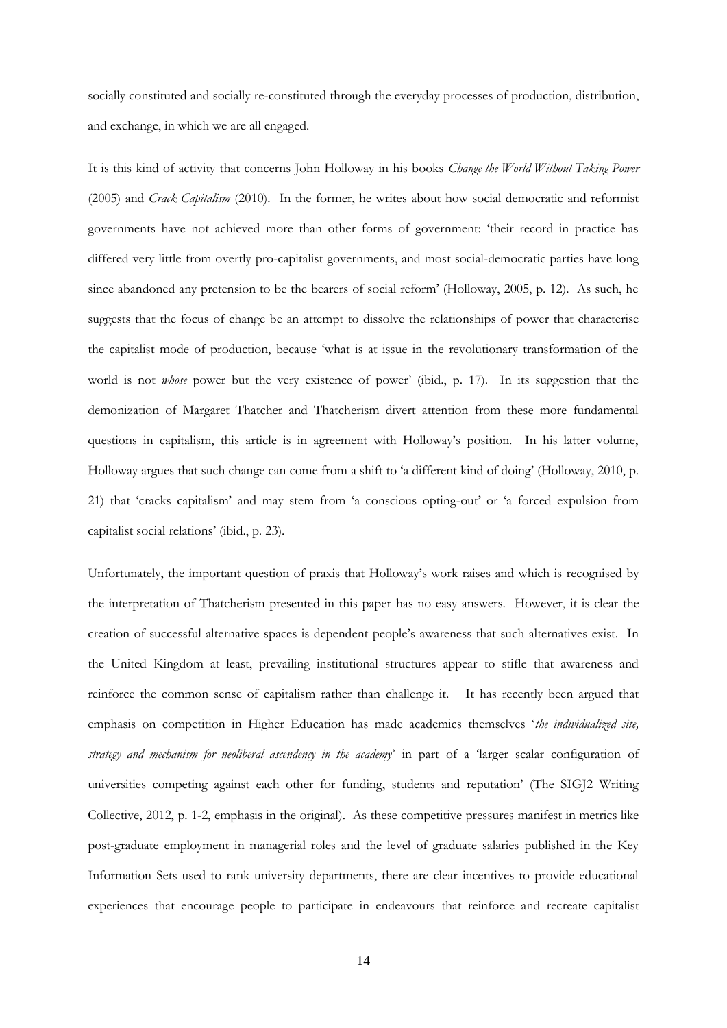socially constituted and socially re-constituted through the everyday processes of production, distribution, and exchange, in which we are all engaged.

It is this kind of activity that concerns John Holloway in his books *Change the World Without Taking Power* (2005) and *Crack Capitalism* (2010). In the former, he writes about how social democratic and reformist governments have not achieved more than other forms of government: 'their record in practice has differed very little from overtly pro-capitalist governments, and most social-democratic parties have long since abandoned any pretension to be the bearers of social reform' (Holloway, 2005, p. 12). As such, he suggests that the focus of change be an attempt to dissolve the relationships of power that characterise the capitalist mode of production, because 'what is at issue in the revolutionary transformation of the world is not *whose* power but the very existence of power' (ibid., p. 17). In its suggestion that the demonization of Margaret Thatcher and Thatcherism divert attention from these more fundamental questions in capitalism, this article is in agreement with Holloway's position. In his latter volume, Holloway argues that such change can come from a shift to 'a different kind of doing' (Holloway, 2010, p. 21) that 'cracks capitalism' and may stem from 'a conscious opting-out' or 'a forced expulsion from capitalist social relations' (ibid., p. 23).

Unfortunately, the important question of praxis that Holloway's work raises and which is recognised by the interpretation of Thatcherism presented in this paper has no easy answers. However, it is clear the creation of successful alternative spaces is dependent people's awareness that such alternatives exist. In the United Kingdom at least, prevailing institutional structures appear to stifle that awareness and reinforce the common sense of capitalism rather than challenge it. It has recently been argued that emphasis on competition in Higher Education has made academics themselves '*the individualized site, strategy and mechanism for neoliberal ascendency in the academy*' in part of a 'larger scalar configuration of universities competing against each other for funding, students and reputation' (The SIGJ2 Writing Collective, 2012, p. 1-2, emphasis in the original). As these competitive pressures manifest in metrics like post-graduate employment in managerial roles and the level of graduate salaries published in the Key Information Sets used to rank university departments, there are clear incentives to provide educational experiences that encourage people to participate in endeavours that reinforce and recreate capitalist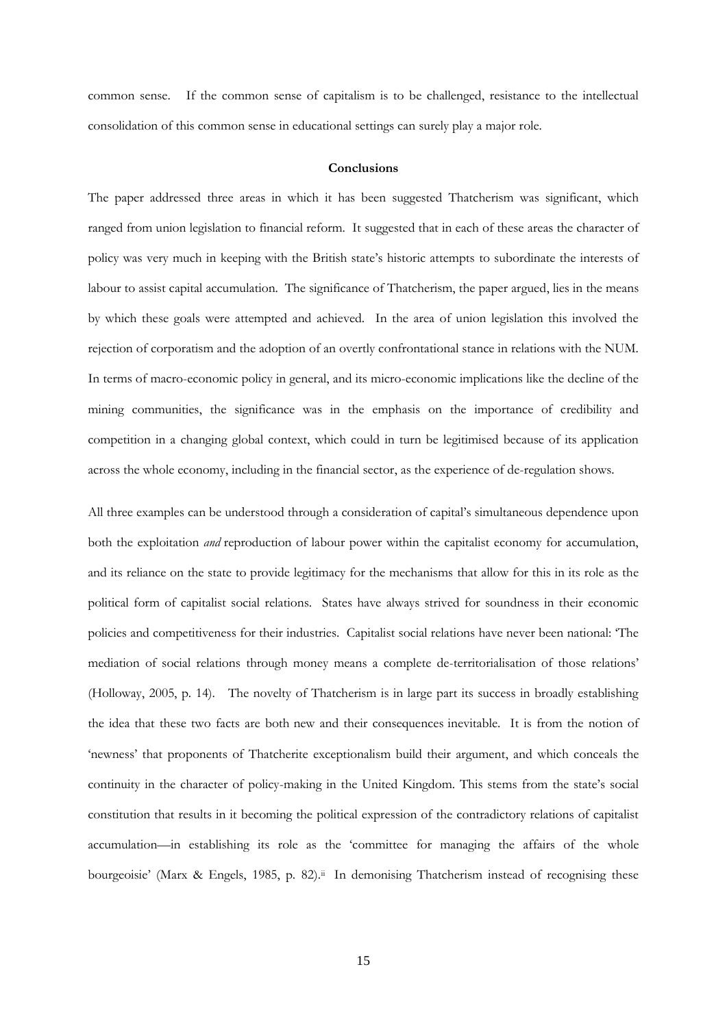common sense. If the common sense of capitalism is to be challenged, resistance to the intellectual consolidation of this common sense in educational settings can surely play a major role.

## **Conclusions**

The paper addressed three areas in which it has been suggested Thatcherism was significant, which ranged from union legislation to financial reform. It suggested that in each of these areas the character of policy was very much in keeping with the British state's historic attempts to subordinate the interests of labour to assist capital accumulation. The significance of Thatcherism, the paper argued, lies in the means by which these goals were attempted and achieved. In the area of union legislation this involved the rejection of corporatism and the adoption of an overtly confrontational stance in relations with the NUM. In terms of macro-economic policy in general, and its micro-economic implications like the decline of the mining communities, the significance was in the emphasis on the importance of credibility and competition in a changing global context, which could in turn be legitimised because of its application across the whole economy, including in the financial sector, as the experience of de-regulation shows.

All three examples can be understood through a consideration of capital's simultaneous dependence upon both the exploitation *and* reproduction of labour power within the capitalist economy for accumulation, and its reliance on the state to provide legitimacy for the mechanisms that allow for this in its role as the political form of capitalist social relations. States have always strived for soundness in their economic policies and competitiveness for their industries. Capitalist social relations have never been national: 'The mediation of social relations through money means a complete de-territorialisation of those relations' (Holloway, 2005, p. 14). The novelty of Thatcherism is in large part its success in broadly establishing the idea that these two facts are both new and their consequences inevitable. It is from the notion of 'newness' that proponents of Thatcherite exceptionalism build their argument, and which conceals the continuity in the character of policy-making in the United Kingdom. This stems from the state's social constitution that results in it becoming the political expression of the contradictory relations of capitalist accumulation—in establishing its role as the 'committee for managing the affairs of the whole bourgeoisie' (Marx & Engels, 1985, p. 82).<sup>ii</sup> In demonising Thatcherism instead of recognising these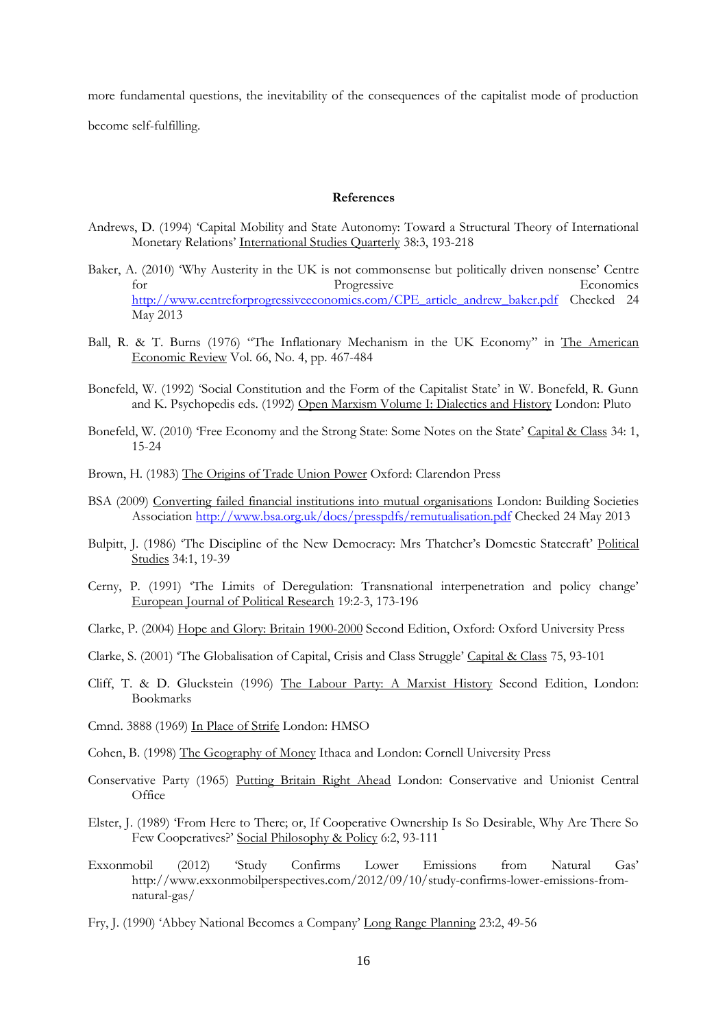more fundamental questions, the inevitability of the consequences of the capitalist mode of production become self-fulfilling.

#### **References**

- Andrews, D. (1994) 'Capital Mobility and State Autonomy: Toward a Structural Theory of International Monetary Relations' International Studies Quarterly 38:3, 193-218
- Baker, A. (2010) 'Why Austerity in the UK is not commonsense but politically driven nonsense' Centre for Progressive Economics [http://www.centreforprogressiveeconomics.com/CPE\\_article\\_andrew\\_baker.pdf](http://www.centreforprogressiveeconomics.com/CPE_article_andrew_baker.pdf) Checked 24 May 2013
- Ball, R. & T. Burns (1976) "The Inflationary Mechanism in the UK Economy" in The American Economic Review Vol. 66, No. 4, pp. 467-484
- Bonefeld, W. (1992) 'Social Constitution and the Form of the Capitalist State' in W. Bonefeld, R. Gunn and K. Psychopedis eds. (1992) Open Marxism Volume I: Dialectics and History London: Pluto
- Bonefeld, W. (2010) 'Free Economy and the Strong State: Some Notes on the State' Capital & Class 34: 1, 15-24
- Brown, H. (1983) The Origins of Trade Union Power Oxford: Clarendon Press
- BSA (2009) Converting failed financial institutions into mutual organisations London: Building Societies Association<http://www.bsa.org.uk/docs/presspdfs/remutualisation.pdf> Checked 24 May 2013
- Bulpitt, J. (1986) 'The Discipline of the New Democracy: Mrs Thatcher's Domestic Statecraft' Political Studies 34:1, 19-39
- Cerny, P. (1991) 'The Limits of Deregulation: Transnational interpenetration and policy change' European Journal of Political Research 19:2-3, 173-196
- Clarke, P. (2004) Hope and Glory: Britain 1900-2000 Second Edition, Oxford: Oxford University Press
- Clarke, S. (2001) 'The Globalisation of Capital, Crisis and Class Struggle' Capital & Class 75, 93-101
- Cliff, T. & D. Gluckstein (1996) The Labour Party: A Marxist History Second Edition, London: Bookmarks
- Cmnd. 3888 (1969) In Place of Strife London: HMSO

- Conservative Party (1965) Putting Britain Right Ahead London: Conservative and Unionist Central **Office**
- Elster, J. (1989) 'From Here to There; or, If Cooperative Ownership Is So Desirable, Why Are There So Few Cooperatives?' Social Philosophy & Policy 6:2, 93-111
- Exxonmobil (2012) 'Study Confirms Lower Emissions from Natural Gas' http://www.exxonmobilperspectives.com/2012/09/10/study-confirms-lower-emissions-fromnatural-gas/
- Fry, J. (1990) 'Abbey National Becomes a Company' Long Range Planning 23:2, 49-56

Cohen, B. (1998) The Geography of Money Ithaca and London: Cornell University Press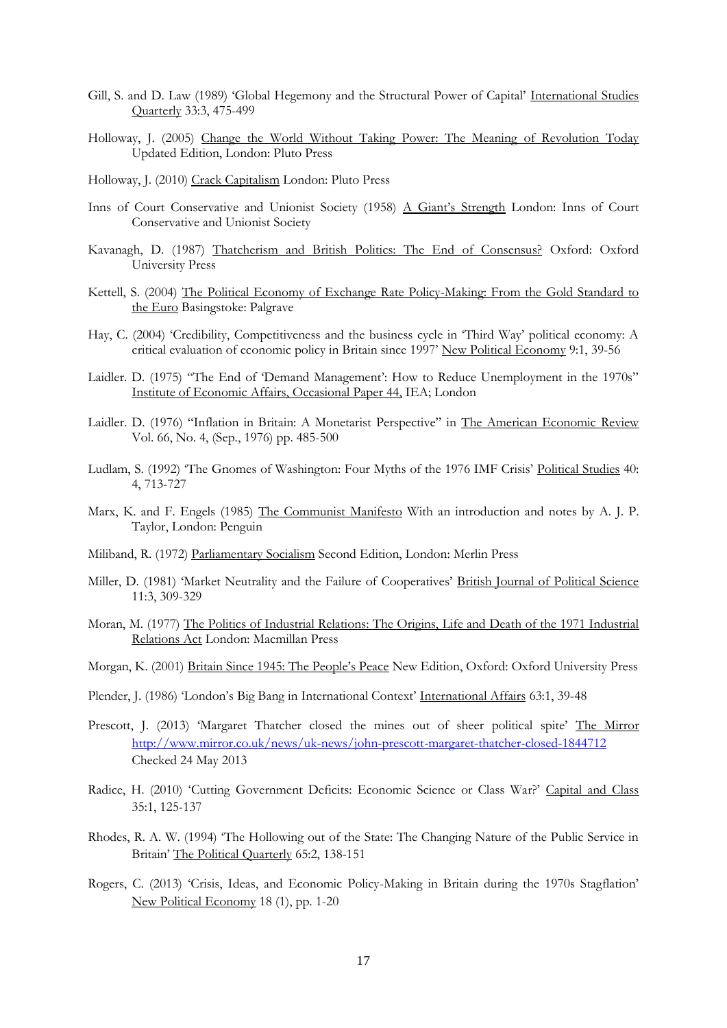- Gill, S. and D. Law (1989) 'Global Hegemony and the Structural Power of Capital' International Studies Quarterly 33:3, 475-499
- Holloway, J. (2005) Change the World Without Taking Power: The Meaning of Revolution Today Updated Edition, London: Pluto Press
- Holloway, J. (2010) Crack Capitalism London: Pluto Press
- Inns of Court Conservative and Unionist Society (1958) A Giant's Strength London: Inns of Court Conservative and Unionist Society
- Kavanagh, D. (1987) Thatcherism and British Politics: The End of Consensus? Oxford: Oxford University Press
- Kettell, S. (2004) The Political Economy of Exchange Rate Policy-Making: From the Gold Standard to the Euro Basingstoke: Palgrave
- Hay, C. (2004) 'Credibility, Competitiveness and the business cycle in 'Third Way' political economy: A critical evaluation of economic policy in Britain since 1997' New Political Economy 9:1, 39-56
- Laidler. D. (1975) "The End of 'Demand Management': How to Reduce Unemployment in the 1970s" Institute of Economic Affairs, Occasional Paper 44, IEA; London
- Laidler. D. (1976) "Inflation in Britain: A Monetarist Perspective" in The American Economic Review Vol. 66, No. 4, (Sep., 1976) pp. 485-500
- Ludlam, S. (1992) 'The Gnomes of Washington: Four Myths of the 1976 IMF Crisis' Political Studies 40: 4, 713-727
- Marx, K. and F. Engels (1985) The Communist Manifesto With an introduction and notes by A. J. P. Taylor, London: Penguin
- Miliband, R. (1972) Parliamentary Socialism Second Edition, London: Merlin Press
- Miller, D. (1981) 'Market Neutrality and the Failure of Cooperatives' British Journal of Political Science 11:3, 309-329
- Moran, M. (1977) The Politics of Industrial Relations: The Origins, Life and Death of the 1971 Industrial Relations Act London: Macmillan Press
- Morgan, K. (2001) Britain Since 1945: The People's Peace New Edition, Oxford: Oxford University Press
- Plender, J. (1986) 'London's Big Bang in International Context' International Affairs 63:1, 39-48
- Prescott, J. (2013) 'Margaret Thatcher closed the mines out of sheer political spite' The Mirror <http://www.mirror.co.uk/news/uk-news/john-prescott-margaret-thatcher-closed-1844712> Checked 24 May 2013
- Radice, H. (2010) 'Cutting Government Deficits: Economic Science or Class War?' Capital and Class 35:1, 125-137
- Rhodes, R. A. W. (1994) 'The Hollowing out of the State: The Changing Nature of the Public Service in Britain' The Political Quarterly 65:2, 138-151
- Rogers, C. (2013) 'Crisis, Ideas, and Economic Policy-Making in Britain during the 1970s Stagflation' New Political Economy 18 (1), pp. 1-20